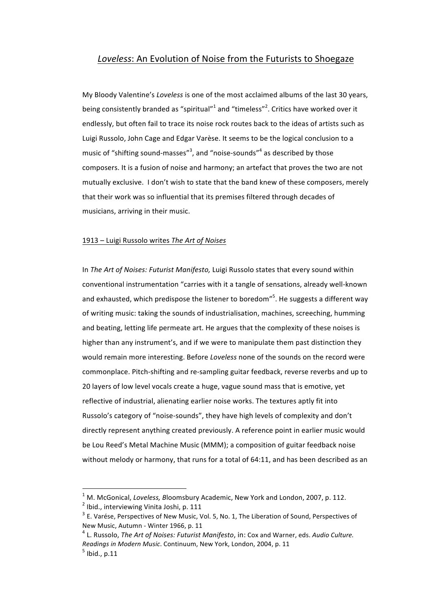# Loveless: An Evolution of Noise from the Futurists to Shoegaze

My Bloody Valentine's *Loveless* is one of the most acclaimed albums of the last 30 years, being consistently branded as "spiritual"<sup>1</sup> and "timeless"<sup>2</sup>. Critics have worked over it endlessly, but often fail to trace its noise rock routes back to the ideas of artists such as Luigi Russolo, John Cage and Edgar Varèse. It seems to be the logical conclusion to a music of "shifting sound-masses"<sup>3</sup>, and "noise-sounds"<sup>4</sup> as described by those composers. It is a fusion of noise and harmony; an artefact that proves the two are not mutually exclusive. I don't wish to state that the band knew of these composers, merely that their work was so influential that its premises filtered through decades of musicians, arriving in their music.

#### 1913 – Luigi Russolo writes The Art of Noises

In *The Art of Noises: Futurist Manifesto*, Luigi Russolo states that every sound within conventional instrumentation "carries with it a tangle of sensations, already well-known and exhausted, which predispose the listener to boredom"<sup>5</sup>. He suggests a different way of writing music: taking the sounds of industrialisation, machines, screeching, humming and beating, letting life permeate art. He argues that the complexity of these noises is higher than any instrument's, and if we were to manipulate them past distinction they would remain more interesting. Before *Loveless* none of the sounds on the record were commonplace. Pitch-shifting and re-sampling guitar feedback, reverse reverbs and up to 20 layers of low level vocals create a huge, vague sound mass that is emotive, yet reflective of industrial, alienating earlier noise works. The textures aptly fit into Russolo's category of "noise-sounds", they have high levels of complexity and don't directly represent anything created previously. A reference point in earlier music would be Lou Reed's Metal Machine Music (MMM); a composition of guitar feedback noise without melody or harmony, that runs for a total of  $64:11$ , and has been described as an

 $1$  M. McGonical, *Loveless, B*loomsbury Academic, New York and London, 2007, p. 112.  $2$  Ibid., interviewing Vinita Joshi, p. 111

 $3$  E. Varése, Perspectives of New Music, Vol. 5, No. 1, The Liberation of Sound, Perspectives of New Music, Autumn - Winter 1966, p. 11

<sup>&</sup>lt;sup>4</sup> L. Russolo, *The Art of Noises: Futurist Manifesto*, in: Cox and Warner, eds. Audio Culture. *Readings in Modern Music.* Continuum, New York, London, 2004, p. 11

 $<sup>5</sup>$  Ibid., p.11</sup>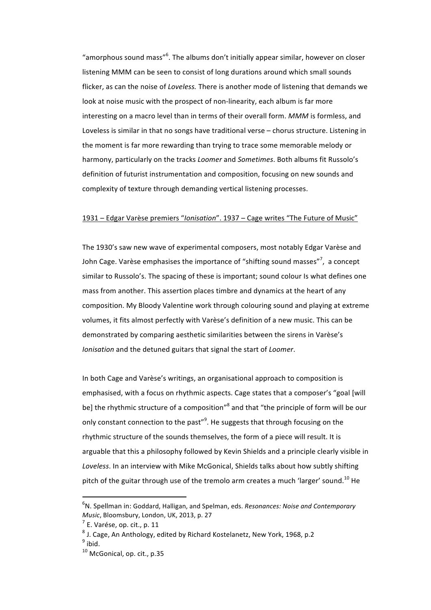"amorphous sound mass" $6$ . The albums don't initially appear similar, however on closer listening MMM can be seen to consist of long durations around which small sounds flicker, as can the noise of *Loveless*. There is another mode of listening that demands we look at noise music with the prospect of non-linearity, each album is far more interesting on a macro level than in terms of their overall form. *MMM* is formless, and Loveless is similar in that no songs have traditional verse  $-$  chorus structure. Listening in the moment is far more rewarding than trying to trace some memorable melody or harmony, particularly on the tracks *Loomer* and *Sometimes*. Both albums fit Russolo's definition of futurist instrumentation and composition, focusing on new sounds and complexity of texture through demanding vertical listening processes.

### 1931 – Edgar Varèse premiers "*Ionisation*". 1937 – Cage writes "The Future of Music"

The 1930's saw new wave of experimental composers, most notably Edgar Varèse and John Cage. Varèse emphasises the importance of "shifting sound masses"<sup>7</sup>, a concept similar to Russolo's. The spacing of these is important; sound colour Is what defines one mass from another. This assertion places timbre and dynamics at the heart of any composition. My Bloody Valentine work through colouring sound and playing at extreme volumes, it fits almost perfectly with Varèse's definition of a new music. This can be demonstrated by comparing aesthetic similarities between the sirens in Varèse's *Ionisation* and the detuned guitars that signal the start of *Loomer*.

In both Cage and Varèse's writings, an organisational approach to composition is emphasised, with a focus on rhythmic aspects. Cage states that a composer's "goal [will be] the rhythmic structure of a composition"<sup>8</sup> and that "the principle of form will be our only constant connection to the past"<sup>9</sup>. He suggests that through focusing on the rhythmic structure of the sounds themselves, the form of a piece will result. It is arguable that this a philosophy followed by Kevin Shields and a principle clearly visible in Loveless. In an interview with Mike McGonical, Shields talks about how subtly shifting pitch of the guitar through use of the tremolo arm creates a much 'larger' sound.<sup>10</sup> He

<sup>&</sup>lt;sup>6</sup>N. Spellman in: Goddard, Halligan, and Spelman, eds. *Resonances: Noise and Contemporary Music*, Bloomsbury, London, UK, 2013, p. 27

 $<sup>7</sup>$  E. Varése, op. cit., p. 11</sup>

 $8$  J. Cage, An Anthology, edited by Richard Kostelanetz, New York, 1968, p.2  $9$  ibid.

 $10$  McGonical, op. cit., p.35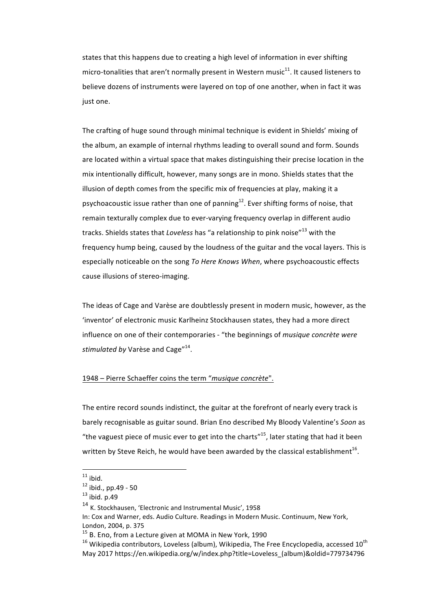states that this happens due to creating a high level of information in ever shifting micro-tonalities that aren't normally present in Western music $^{11}$ . It caused listeners to believe dozens of instruments were layered on top of one another, when in fact it was just one.

The crafting of huge sound through minimal technique is evident in Shields' mixing of the album, an example of internal rhythms leading to overall sound and form. Sounds are located within a virtual space that makes distinguishing their precise location in the mix intentionally difficult, however, many songs are in mono. Shields states that the illusion of depth comes from the specific mix of frequencies at play, making it a psychoacoustic issue rather than one of panning<sup>12</sup>. Ever shifting forms of noise, that remain texturally complex due to ever-varying frequency overlap in different audio tracks. Shields states that *Loveless* has "a relationship to pink noise"<sup>13</sup> with the frequency hump being, caused by the loudness of the guitar and the vocal layers. This is especially noticeable on the song *To Here Knows When*, where psychoacoustic effects cause illusions of stereo-imaging.

The ideas of Cage and Varèse are doubtlessly present in modern music, however, as the 'inventor' of electronic music Karlheinz Stockhausen states, they had a more direct influence on one of their contemporaries - "the beginnings of *musique concrète were stimulated by* Varèse and Cage"<sup>14</sup>.

### 1948 – Pierre Schaeffer coins the term "*musique concrète*".

The entire record sounds indistinct, the guitar at the forefront of nearly every track is barely recognisable as guitar sound. Brian Eno described My Bloody Valentine's Soon as "the vaguest piece of music ever to get into the charts"<sup>15</sup>, later stating that had it been written by Steve Reich, he would have been awarded by the classical establishment<sup>16</sup>.

 $\frac{11}{12}$  ibid.<br> $\frac{12}{12}$  ibid., pp.49 - 50

 $13$  ibid. p.49

<sup>&</sup>lt;sup>14</sup> K. Stockhausen, 'Electronic and Instrumental Music', 1958

In: Cox and Warner, eds. Audio Culture. Readings in Modern Music. Continuum, New York, London, 2004, p. 375

 $15$  B. Eno, from a Lecture given at MOMA in New York, 1990

 $16$  Wikipedia contributors, Loveless (album), Wikipedia, The Free Encyclopedia, accessed  $10^{\text{th}}$ May 2017 https://en.wikipedia.org/w/index.php?title=Loveless\_(album)&oldid=779734796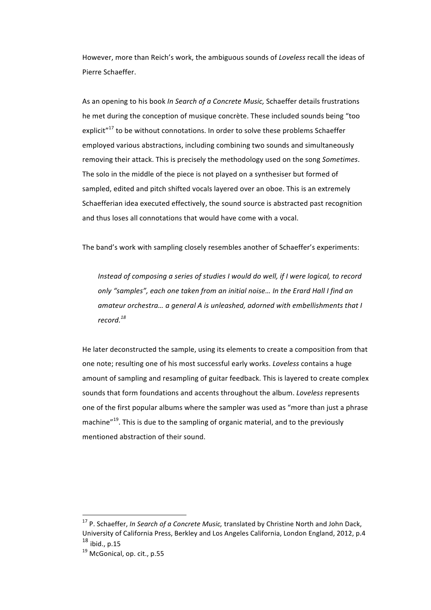However, more than Reich's work, the ambiguous sounds of *Loveless* recall the ideas of Pierre Schaeffer.

As an opening to his book *In Search of a Concrete Music*, Schaeffer details frustrations he met during the conception of musique concrète. These included sounds being "too explicit<sup> $n^{17}$ </sup> to be without connotations. In order to solve these problems Schaeffer employed various abstractions, including combining two sounds and simultaneously removing their attack. This is precisely the methodology used on the song *Sometimes*. The solo in the middle of the piece is not played on a synthesiser but formed of sampled, edited and pitch shifted vocals layered over an oboe. This is an extremely Schaefferian idea executed effectively, the sound source is abstracted past recognition and thus loses all connotations that would have come with a vocal.

The band's work with sampling closely resembles another of Schaeffer's experiments:

Instead of composing a series of studies I would do well, if I were logical, to record *only* "samples", each one taken from an initial noise... In the Erard Hall I find an amateur orchestra... a general A is unleashed, adorned with embellishments that I *record.<sup>18</sup>*

He later deconstructed the sample, using its elements to create a composition from that one note; resulting one of his most successful early works. *Loveless* contains a huge amount of sampling and resampling of guitar feedback. This is layered to create complex sounds that form foundations and accents throughout the album. *Loveless* represents one of the first popular albums where the sampler was used as "more than just a phrase machine $"^{19}$ . This is due to the sampling of organic material, and to the previously mentioned abstraction of their sound.

<sup>&</sup>lt;sup>17</sup> P. Schaeffer, *In Search of a Concrete Music*, translated by Christine North and John Dack, University of California Press, Berkley and Los Angeles California, London England, 2012, p.4  $^{18}$  ibid., p.15

 $19$  McGonical, op. cit., p.55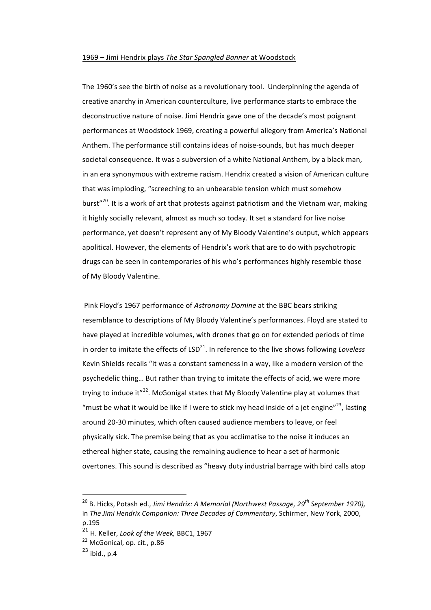### 1969 – Jimi Hendrix plays The Star Spangled Banner at Woodstock

The 1960's see the birth of noise as a revolutionary tool. Underpinning the agenda of creative anarchy in American counterculture, live performance starts to embrace the deconstructive nature of noise. Jimi Hendrix gave one of the decade's most poignant performances at Woodstock 1969, creating a powerful allegory from America's National Anthem. The performance still contains ideas of noise-sounds, but has much deeper societal consequence. It was a subversion of a white National Anthem, by a black man, in an era synonymous with extreme racism. Hendrix created a vision of American culture that was imploding, "screeching to an unbearable tension which must somehow burst"<sup>20</sup>. It is a work of art that protests against patriotism and the Vietnam war, making it highly socially relevant, almost as much so today. It set a standard for live noise performance, yet doesn't represent any of My Bloody Valentine's output, which appears apolitical. However, the elements of Hendrix's work that are to do with psychotropic drugs can be seen in contemporaries of his who's performances highly resemble those of My Bloody Valentine.

Pink Floyd's 1967 performance of *Astronomy Domine* at the BBC bears striking resemblance to descriptions of My Bloody Valentine's performances. Floyd are stated to have played at incredible volumes, with drones that go on for extended periods of time in order to imitate the effects of  $LSD<sup>21</sup>$ . In reference to the live shows following *Loveless* Kevin Shields recalls "it was a constant sameness in a way, like a modern version of the psychedelic thing... But rather than trying to imitate the effects of acid, we were more trying to induce it" $^{22}$ . McGonigal states that My Bloody Valentine play at volumes that "must be what it would be like if I were to stick my head inside of a jet engine"<sup>23</sup>, lasting around 20-30 minutes, which often caused audience members to leave, or feel physically sick. The premise being that as you acclimatise to the noise it induces an ethereal higher state, causing the remaining audience to hear a set of harmonic overtones. This sound is described as "heavy duty industrial barrage with bird calls atop

<sup>&</sup>lt;sup>20</sup> B. Hicks, Potash ed., *Jimi Hendrix: A Memorial (Northwest Passage, 29<sup>th</sup> September 1970),* in *The Jimi Hendrix Companion: Three Decades of Commentary*, Schirmer, New York, 2000, p.195

<sup>&</sup>lt;sup>21</sup> H. Keller, *Look of the Week*, BBC1, 1967

<sup>&</sup>lt;sup>22</sup> McGonical, op. cit., p.86

 $23$  ibid., p.4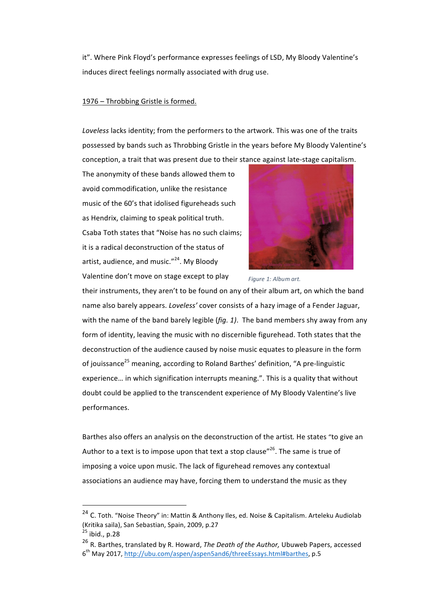it". Where Pink Floyd's performance expresses feelings of LSD, My Bloody Valentine's induces direct feelings normally associated with drug use.

### 1976 – Throbbing Gristle is formed.

Loveless lacks identity; from the performers to the artwork. This was one of the traits possessed by bands such as Throbbing Gristle in the years before My Bloody Valentine's conception, a trait that was present due to their stance against late-stage capitalism.

The anonymity of these bands allowed them to avoid commodification, unlike the resistance music of the 60's that idolised figureheads such as Hendrix, claiming to speak political truth. Csaba Toth states that "Noise has no such claims; it is a radical deconstruction of the status of artist, audience, and music." $^{24}$ . My Bloody Valentine don't move on stage except to play



Figure 1: Album art.

their instruments, they aren't to be found on any of their album art, on which the band name also barely appears. *Loveless'* cover consists of a hazy image of a Fender Jaguar, with the name of the band barely legible  $(fig. 1)$ . The band members shy away from any form of identity, leaving the music with no discernible figurehead. Toth states that the deconstruction of the audience caused by noise music equates to pleasure in the form of jouissance<sup>25</sup> meaning, according to Roland Barthes' definition, "A pre-linguistic experience... in which signification interrupts meaning.". This is a quality that without doubt could be applied to the transcendent experience of My Bloody Valentine's live performances.

Barthes also offers an analysis on the deconstruction of the artist. He states "to give an Author to a text is to impose upon that text a stop clause"<sup>26</sup>. The same is true of imposing a voice upon music. The lack of figurehead removes any contextual associations an audience may have, forcing them to understand the music as they

<sup>&</sup>lt;sup>24</sup> C. Toth. "Noise Theory" in: Mattin & Anthony Iles, ed. Noise & Capitalism. Arteleku Audiolab (Kritika saila), San Sebastian, Spain, 2009, p.27

 $^{25}$  ibid., p.28

<sup>&</sup>lt;sup>26</sup> R. Barthes, translated by R. Howard, *The Death of the Author*, Ubuweb Papers, accessed  $6<sup>th</sup>$  May 2017, http://ubu.com/aspen/aspen5and6/threeEssays.html#barthes, p.5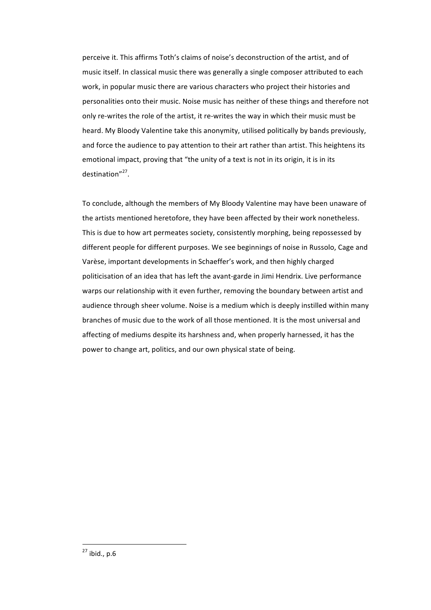perceive it. This affirms Toth's claims of noise's deconstruction of the artist, and of music itself. In classical music there was generally a single composer attributed to each work, in popular music there are various characters who project their histories and personalities onto their music. Noise music has neither of these things and therefore not only re-writes the role of the artist, it re-writes the way in which their music must be heard. My Bloody Valentine take this anonymity, utilised politically by bands previously, and force the audience to pay attention to their art rather than artist. This heightens its emotional impact, proving that "the unity of a text is not in its origin, it is in its destination"27.

To conclude, although the members of My Bloody Valentine may have been unaware of the artists mentioned heretofore, they have been affected by their work nonetheless. This is due to how art permeates society, consistently morphing, being repossessed by different people for different purposes. We see beginnings of noise in Russolo, Cage and Varèse, important developments in Schaeffer's work, and then highly charged politicisation of an idea that has left the avant-garde in Jimi Hendrix. Live performance warps our relationship with it even further, removing the boundary between artist and audience through sheer volume. Noise is a medium which is deeply instilled within many branches of music due to the work of all those mentioned. It is the most universal and affecting of mediums despite its harshness and, when properly harnessed, it has the power to change art, politics, and our own physical state of being.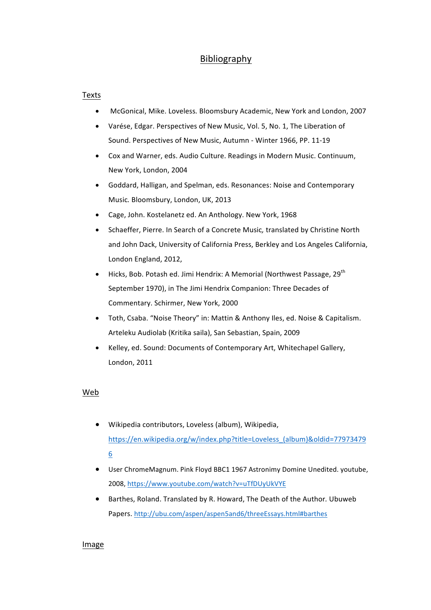# Bibliography

## **Texts**

- McGonical, Mike. Loveless. Bloomsbury Academic, New York and London, 2007
- Varése, Edgar. Perspectives of New Music, Vol. 5, No. 1, The Liberation of Sound. Perspectives of New Music, Autumn - Winter 1966, PP. 11-19
- Cox and Warner, eds. Audio Culture. Readings in Modern Music. Continuum, New York, London, 2004
- Goddard, Halligan, and Spelman, eds. Resonances: Noise and Contemporary Music. Bloomsbury, London, UK, 2013
- Cage, John. Kostelanetz ed. An Anthology. New York, 1968
- Schaeffer, Pierre. In Search of a Concrete Music, translated by Christine North and John Dack, University of California Press, Berkley and Los Angeles California, London England, 2012,
- Hicks, Bob. Potash ed. Jimi Hendrix: A Memorial (Northwest Passage, 29<sup>th</sup>) September 1970), in The Jimi Hendrix Companion: Three Decades of Commentary. Schirmer, New York, 2000
- Toth, Csaba. "Noise Theory" in: Mattin & Anthony Iles, ed. Noise & Capitalism. Arteleku Audiolab (Kritika saila), San Sebastian, Spain, 2009
- Kelley, ed. Sound: Documents of Contemporary Art, Whitechapel Gallery, London, 2011

# Web

- Wikipedia contributors, Loveless (album), Wikipedia, https://en.wikipedia.org/w/index.php?title=Loveless\_(album)&oldid=77973479 6
- User ChromeMagnum. Pink Floyd BBC1 1967 Astronimy Domine Unedited. youtube, 2008, https://www.youtube.com/watch?v=uTfDUyUkVYE
- Barthes, Roland. Translated by R. Howard, The Death of the Author. Ubuweb Papers. http://ubu.com/aspen/aspen5and6/threeEssays.html#barthes

## Image